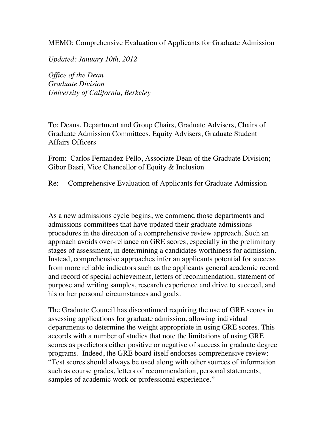MEMO: Comprehensive Evaluation of Applicants for Graduate Admission

*Updated: January 10th, 2012*

*Office of the Dean Graduate Division University of California, Berkeley*

To: Deans, Department and Group Chairs, Graduate Advisers, Chairs of Graduate Admission Committees, Equity Advisers, Graduate Student Affairs Officers

From: Carlos Fernandez-Pello, Associate Dean of the Graduate Division; Gibor Basri, Vice Chancellor of Equity & Inclusion

Re: Comprehensive Evaluation of Applicants for Graduate Admission

As a new admissions cycle begins, we commend those departments and admissions committees that have updated their graduate admissions procedures in the direction of a comprehensive review approach. Such an approach avoids over-reliance on GRE scores, especially in the preliminary stages of assessment, in determining a candidates worthiness for admission. Instead, comprehensive approaches infer an applicants potential for success from more reliable indicators such as the applicants general academic record and record of special achievement, letters of recommendation, statement of purpose and writing samples, research experience and drive to succeed, and his or her personal circumstances and goals.

The Graduate Council has discontinued requiring the use of GRE scores in assessing applications for graduate admission, allowing individual departments to determine the weight appropriate in using GRE scores. This accords with a number of studies that note the limitations of using GRE scores as predictors either positive or negative of success in graduate degree programs. Indeed, the GRE board itself endorses comprehensive review: "Test scores should always be used along with other sources of information such as course grades, letters of recommendation, personal statements, samples of academic work or professional experience."